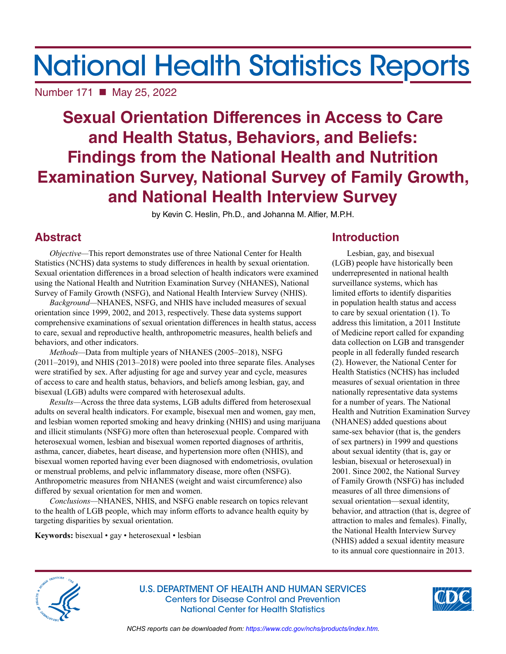# National Health Statistics Reports

Number 171 ■ May 25, 2022

# **Sexual Orientation Differences in Access to Care and Health Status, Behaviors, and Beliefs: Findings from the National Health and Nutrition Examination Survey, National Survey of Family Growth, and National Health Interview Survey**

by Kevin C. Heslin, Ph.D., and Johanna M. Alfier, M.P.H.

# **Abstract**

*Objective—*This report demonstrates use of three National Center for Health Statistics (NCHS) data systems to study differences in health by sexual orientation. Sexual orientation differences in a broad selection of health indicators were examined using the National Health and Nutrition Examination Survey (NHANES), National Survey of Family Growth (NSFG), and National Health Interview Survey (NHIS).

*Background—*NHANES, NSFG, and NHIS have included measures of sexual orientation since 1999, 2002, and 2013, respectively. These data systems support comprehensive examinations of sexual orientation differences in health status, access to care, sexual and reproductive health, anthropometric measures, health beliefs and behaviors, and other indicators.

*Methods—*Data from multiple years of NHANES (2005–2018), NSFG (2011–2019), and NHIS (2013–2018) were pooled into three separate files. Analyses were stratified by sex. After adjusting for age and survey year and cycle, measures of access to care and health status, behaviors, and beliefs among lesbian, gay, and bisexual (LGB) adults were compared with heterosexual adults.

*Results—*Across the three data systems, LGB adults differed from heterosexual adults on several health indicators. For example, bisexual men and women, gay men, and lesbian women reported smoking and heavy drinking (NHIS) and using marijuana and illicit stimulants (NSFG) more often than heterosexual people. Compared with heterosexual women, lesbian and bisexual women reported diagnoses of arthritis, asthma, cancer, diabetes, heart disease, and hypertension more often (NHIS), and bisexual women reported having ever been diagnosed with endometriosis, ovulation or menstrual problems, and pelvic inflammatory disease, more often (NSFG). Anthropometric measures from NHANES (weight and waist circumference) also differed by sexual orientation for men and women.

*Conclusions—*NHANES, NHIS, and NSFG enable research on topics relevant to the health of LGB people, which may inform efforts to advance health equity by targeting disparities by sexual orientation.

**Keywords:** bisexual • gay • heterosexual • lesbian

# **Introduction**

Lesbian, gay, and bisexual (LGB) people have historically been underrepresented in national health surveillance systems, which has limited efforts to identify disparities in population health status and access to care by sexual orientation (1). To address this limitation, a 2011 Institute of Medicine report called for expanding data collection on LGB and transgender people in all federally funded research (2). However, the National Center for Health Statistics (NCHS) has included measures of sexual orientation in three nationally representative data systems for a number of years. The National Health and Nutrition Examination Survey (NHANES) added questions about same-sex behavior (that is, the genders of sex partners) in 1999 and questions about sexual identity (that is, gay or lesbian, bisexual or heterosexual) in 2001. Since 2002, the National Survey of Family Growth (NSFG) has included measures of all three dimensions of sexual orientation—sexual identity, behavior, and attraction (that is, degree of attraction to males and females). Finally, the National Health Interview Survey (NHIS) added a sexual identity measure to its annual core questionnaire in 2013.



U.S. DEPARTMENT OF HEALTH AND HUMAN SERVICES Centers for Disease Control and Prevention National Center for Health Statistics



*NCHS reports can be downloaded from:<https://www.cdc.gov/nchs/products/index.htm>.*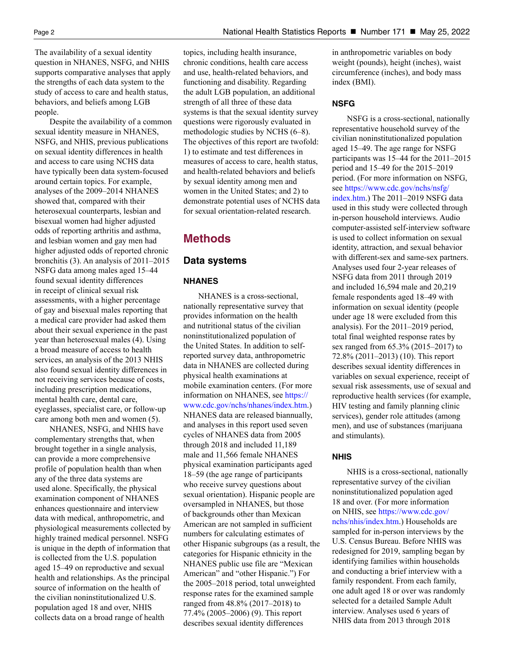The availability of a sexual identity question in NHANES, NSFG, and NHIS supports comparative analyses that apply the strengths of each data system to the study of access to care and health status, behaviors, and beliefs among LGB people.

Despite the availability of a common sexual identity measure in NHANES, NSFG, and NHIS, previous publications on sexual identity differences in health and access to care using NCHS data have typically been data system-focused around certain topics. For example, analyses of the 2009–2014 NHANES showed that, compared with their heterosexual counterparts, lesbian and bisexual women had higher adjusted odds of reporting arthritis and asthma, and lesbian women and gay men had higher adjusted odds of reported chronic bronchitis (3). An analysis of 2011–2015 NSFG data among males aged 15–44 found sexual identity differences in receipt of clinical sexual risk assessments, with a higher percentage of gay and bisexual males reporting that a medical care provider had asked them about their sexual experience in the past year than heterosexual males (4). Using a broad measure of access to health services, an analysis of the 2013 NHIS also found sexual identity differences in not receiving services because of costs, including prescription medications, mental health care, dental care, eyeglasses, specialist care, or follow-up care among both men and women (5).

NHANES, NSFG, and NHIS have complementary strengths that, when brought together in a single analysis, can provide a more comprehensive profile of population health than when any of the three data systems are used alone. Specifically, the physical examination component of NHANES enhances questionnaire and interview data with medical, anthropometric, and physiological measurements collected by highly trained medical personnel. NSFG is unique in the depth of information that is collected from the U.S. population aged 15–49 on reproductive and sexual health and relationships. As the principal source of information on the health of the civilian noninstitutionalized U.S. population aged 18 and over, NHIS collects data on a broad range of health

topics, including health insurance, chronic conditions, health care access and use, health-related behaviors, and functioning and disability. Regarding the adult LGB population, an additional strength of all three of these data systems is that the sexual identity survey questions were rigorously evaluated in methodologic studies by NCHS (6–8). The objectives of this report are twofold: 1) to estimate and test differences in measures of access to care, health status, and health-related behaviors and beliefs by sexual identity among men and women in the United States; and 2) to demonstrate potential uses of NCHS data for sexual orientation-related research.

# **Methods**

# **Data systems**

# **NHANES**

NHANES is a cross-sectional, nationally representative survey that provides information on the health and nutritional status of the civilian noninstitutionalized population of the United States. In addition to selfreported survey data, anthropometric data in NHANES are collected during physical health examinations at mobile examination centers. (For more information on NHANES, see [https://](https://www.cdc.gov/nchs/nhanes/index.htm) [www.cdc.gov/nchs/nhanes/index.htm.](https://www.cdc.gov/nchs/nhanes/index.htm)) NHANES data are released biannually, and analyses in this report used seven cycles of NHANES data from 2005 through 2018 and included 11,189 male and 11,566 female NHANES physical examination participants aged 18–59 (the age range of participants who receive survey questions about sexual orientation). Hispanic people are oversampled in NHANES, but those of backgrounds other than Mexican American are not sampled in sufficient numbers for calculating estimates of other Hispanic subgroups (as a result, the categories for Hispanic ethnicity in the NHANES public use file are "Mexican American" and "other Hispanic.") For the 2005–2018 period, total unweighted response rates for the examined sample ranged from 48.8% (2017–2018) to 77.4% (2005–2006) (9). This report describes sexual identity differences

in anthropometric variables on body weight (pounds), height (inches), waist circumference (inches), and body mass index (BMI).

# **NSFG**

NSFG is a cross-sectional, nationally representative household survey of the civilian noninstitutionalized population aged 15–49. The age range for NSFG participants was 15–44 for the 2011–2015 period and 15–49 for the 2015–2019 period. (For more information on NSFG, see [https://www.cdc.gov/nchs/nsfg/](https://www.cdc.gov/nchs/nsfg/index.htm) [index.htm](https://www.cdc.gov/nchs/nsfg/index.htm).) The 2011–2019 NSFG data used in this study were collected through in-person household interviews. Audio computer-assisted self-interview software is used to collect information on sexual identity, attraction, and sexual behavior with different-sex and same-sex partners. Analyses used four 2-year releases of NSFG data from 2011 through 2019 and included 16,594 male and 20,219 female respondents aged 18–49 with information on sexual identity (people under age 18 were excluded from this analysis). For the 2011–2019 period, total final weighted response rates by sex ranged from 65.3% (2015–2017) to 72.8% (2011–2013) (10). This report describes sexual identity differences in variables on sexual experience, receipt of sexual risk assessments, use of sexual and reproductive health services (for example, HIV testing and family planning clinic services), gender role attitudes (among men), and use of substances (marijuana and stimulants).

# **NHIS**

NHIS is a cross-sectional, nationally representative survey of the civilian noninstitutionalized population aged 18 and over. (For more information on NHIS, see [https://www.cdc.gov/](https://www.cdc.gov/nchs/nhis/index.htm) [nchs/nhis/index.htm.](https://www.cdc.gov/nchs/nhis/index.htm)) Households are sampled for in-person interviews by the U.S. Census Bureau. Before NHIS was redesigned for 2019, sampling began by identifying families within households and conducting a brief interview with a family respondent. From each family, one adult aged 18 or over was randomly selected for a detailed Sample Adult interview. Analyses used 6 years of NHIS data from 2013 through 2018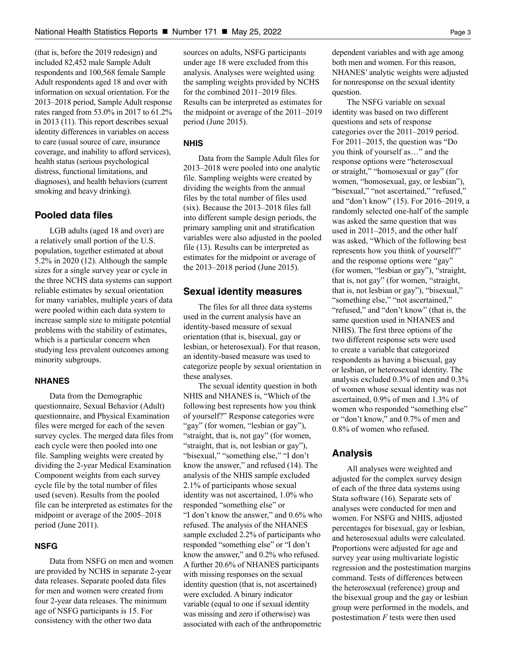(that is, before the 2019 redesign) and included 82,452 male Sample Adult respondents and 100,568 female Sample Adult respondents aged 18 and over with information on sexual orientation. For the 2013–2018 period, Sample Adult response rates ranged from 53.0% in 2017 to 61.2% in 2013 (11). This report describes sexual identity differences in variables on access to care (usual source of care, insurance coverage, and inability to afford services), health status (serious psychological distress, functional limitations, and diagnoses), and health behaviors (current smoking and heavy drinking).

# **Pooled data files**

LGB adults (aged 18 and over) are a relatively small portion of the U.S. population, together estimated at about 5.2% in 2020 (12). Although the sample sizes for a single survey year or cycle in the three NCHS data systems can support reliable estimates by sexual orientation for many variables, multiple years of data were pooled within each data system to increase sample size to mitigate potential problems with the stability of estimates, which is a particular concern when studying less prevalent outcomes among minority subgroups.

# **NHANES**

Data from the Demographic questionnaire, Sexual Behavior (Adult) questionnaire, and Physical Examination files were merged for each of the seven survey cycles. The merged data files from each cycle were then pooled into one file. Sampling weights were created by dividing the 2-year Medical Examination Component weights from each survey cycle file by the total number of files used (seven). Results from the pooled file can be interpreted as estimates for the midpoint or average of the 2005–2018 period (June 2011).

# **NSFG**

Data from NSFG on men and women are provided by NCHS in separate 2-year data releases. Separate pooled data files for men and women were created from four 2-year data releases. The minimum age of NSFG participants is 15. For consistency with the other two data

sources on adults, NSFG participants under age 18 were excluded from this analysis. Analyses were weighted using the sampling weights provided by NCHS for the combined 2011–2019 files. Results can be interpreted as estimates for the midpoint or average of the 2011–2019 period (June 2015).

### **NHIS**

Data from the Sample Adult files for 2013–2018 were pooled into one analytic file. Sampling weights were created by dividing the weights from the annual files by the total number of files used (six). Because the 2013–2018 files fall into different sample design periods, the primary sampling unit and stratification variables were also adjusted in the pooled file (13). Results can be interpreted as estimates for the midpoint or average of the 2013–2018 period (June 2015).

# **Sexual identity measures**

The files for all three data systems used in the current analysis have an identity-based measure of sexual orientation (that is, bisexual, gay or lesbian, or heterosexual). For that reason, an identity-based measure was used to categorize people by sexual orientation in these analyses.

The sexual identity question in both NHIS and NHANES is, "Which of the following best represents how you think of yourself?" Response categories were "gay" (for women, "lesbian or gay"), "straight, that is, not gay" (for women, "straight, that is, not lesbian or gay"), "bisexual," "something else," "I don't know the answer," and refused (14). The analysis of the NHIS sample excluded 2.1% of participants whose sexual identity was not ascertained, 1.0% who responded "something else" or "I don't know the answer," and 0.6% who refused. The analysis of the NHANES sample excluded 2.2% of participants who responded "something else" or "I don't know the answer," and 0.2% who refused. A further 20.6% of NHANES participants with missing responses on the sexual identity question (that is, not ascertained) were excluded. A binary indicator variable (equal to one if sexual identity was missing and zero if otherwise) was associated with each of the anthropometric

dependent variables and with age among both men and women. For this reason, NHANES' analytic weights were adjusted for nonresponse on the sexual identity question.

The NSFG variable on sexual identity was based on two different questions and sets of response categories over the 2011–2019 period. For 2011–2015, the question was "Do you think of yourself as…" and the response options were "heterosexual or straight," "homosexual or gay" (for women, "homosexual, gay, or lesbian"), "bisexual," "not ascertained," "refused," and "don't know" (15). For 2016–2019, a randomly selected one-half of the sample was asked the same question that was used in 2011–2015, and the other half was asked, "Which of the following best represents how you think of yourself?" and the response options were "gay" (for women, "lesbian or gay"), "straight, that is, not gay" (for women, "straight, that is, not lesbian or gay"), "bisexual," "something else," "not ascertained," "refused," and "don't know" (that is, the same question used in NHANES and NHIS). The first three options of the two different response sets were used to create a variable that categorized respondents as having a bisexual, gay or lesbian, or heterosexual identity. The analysis excluded 0.3% of men and 0.3% of women whose sexual identity was not ascertained, 0.9% of men and 1.3% of women who responded "something else" or "don't know," and 0.7% of men and 0.8% of women who refused.

# **Analysis**

All analyses were weighted and adjusted for the complex survey design of each of the three data systems using Stata software (16). Separate sets of analyses were conducted for men and women. For NSFG and NHIS, adjusted percentages for bisexual, gay or lesbian, and heterosexual adults were calculated. Proportions were adjusted for age and survey year using multivariate logistic regression and the postestimation margins command. Tests of differences between the heterosexual (reference) group and the bisexual group and the gay or lesbian group were performed in the models, and postestimation *F* tests were then used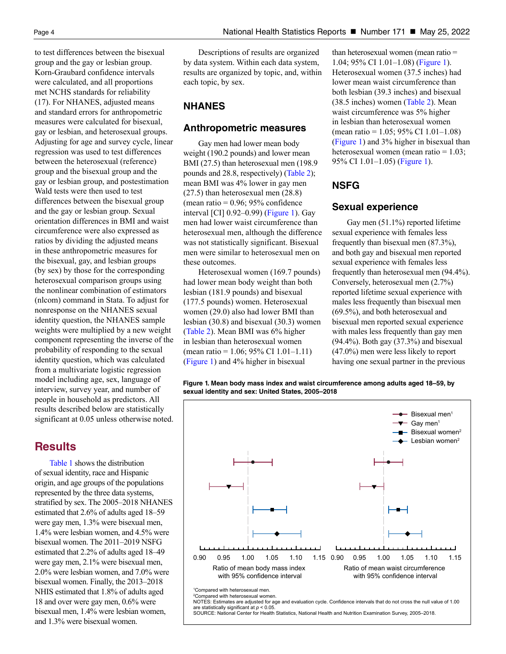to test differences between the bisexual group and the gay or lesbian group. Korn-Graubard confidence intervals were calculated, and all proportions met NCHS standards for reliability (17). For NHANES, adjusted means and standard errors for anthropometric measures were calculated for bisexual, gay or lesbian, and heterosexual groups. Adjusting for age and survey cycle, linear regression was used to test differences between the heterosexual (reference) group and the bisexual group and the gay or lesbian group, and postestimation Wald tests were then used to test differences between the bisexual group and the gay or lesbian group. Sexual orientation differences in BMI and waist circumference were also expressed as ratios by dividing the adjusted means in these anthropometric measures for the bisexual, gay, and lesbian groups (by sex) by those for the corresponding heterosexual comparison groups using the nonlinear combination of estimators (nlcom) command in Stata. To adjust for nonresponse on the NHANES sexual identity question, the NHANES sample weights were multiplied by a new weight component representing the inverse of the probability of responding to the sexual identity question, which was calculated from a multivariate logistic regression model including age, sex, language of interview, survey year, and number of people in household as predictors. All results described below are statistically significant at 0.05 unless otherwise noted.

# **Results**

[Table 1 s](#page-9-0)hows the distribution of sexual identity, race and Hispanic origin, and age groups of the populations represented by the three data systems, stratified by sex. The 2005–2018 NHANES estimated that 2.6% of adults aged 18–59 were gay men, 1.3% were bisexual men, 1.4% were lesbian women, and 4.5% were bisexual women. The 2011–2019 NSFG estimated that 2.2% of adults aged 18–49 were gay men, 2.1% were bisexual men, 2.0% were lesbian women, and 7.0% were bisexual women. Finally, the 2013–2018 NHIS estimated that 1.8% of adults aged 18 and over were gay men, 0.6% were bisexual men, 1.4% were lesbian women, and 1.3% were bisexual women.

Descriptions of results are organized by data system. Within each data system, results are organized by topic, and, within each topic, by sex.

# **NHANES**

# **Anthropometric measures**

Gay men had lower mean body weight (190.2 pounds) and lower mean BMI (27.5) than heterosexual men (198.9 pounds and 28.8, respectively) [\(Table 2\)](#page-10-0); mean BMI was 4% lower in gay men (27.5) than heterosexual men (28.8) (mean ratio  $= 0.96$ ; 95% confidence interval [CI] 0.92–0.99) (Figure 1). Gay men had lower waist circumference than heterosexual men, although the difference was not statistically significant. Bisexual men were similar to heterosexual men on these outcomes.

Heterosexual women (169.7 pounds) had lower mean body weight than both lesbian (181.9 pounds) and bisexual (177.5 pounds) women. Heterosexual women (29.0) also had lower BMI than lesbian (30.8) and bisexual (30.3) women [\(Table 2\)](#page-10-0). Mean BMI was 6% higher in lesbian than heterosexual women (mean ratio =  $1.06$ ; 95% CI  $1.01 - 1.11$ ) (Figure 1) and 4% higher in bisexual

than heterosexual women (mean ratio = 1.04; 95% CI 1.01–1.08) (Figure 1). Heterosexual women (37.5 inches) had lower mean waist circumference than both lesbian (39.3 inches) and bisexual (38.5 inches) women [\(Table 2\)](#page-10-0). Mean waist circumference was 5% higher in lesbian than heterosexual women (mean ratio = 1.05; 95% CI 1.01–1.08) (Figure 1) and 3% higher in bisexual than heterosexual women (mean ratio = 1.03; 95% CI 1.01–1.05) (Figure 1).

# **NSFG**

# **Sexual experience**

Gay men (51.1%) reported lifetime sexual experience with females less frequently than bisexual men (87.3%), and both gay and bisexual men reported sexual experience with females less frequently than heterosexual men (94.4%). Conversely, heterosexual men (2.7%) reported lifetime sexual experience with males less frequently than bisexual men (69.5%), and both heterosexual and bisexual men reported sexual experience with males less frequently than gay men (94.4%). Both gay (37.3%) and bisexual (47.0%) men were less likely to report having one sexual partner in the previous

**Figure 1. Mean body mass index and waist circumference among adults aged 18–59, by sexual identity and sex: United States, 2005–2018**



SOURCE: National Center for Health Statistics, National Health and Nutrition Examination Survey, 2005-2018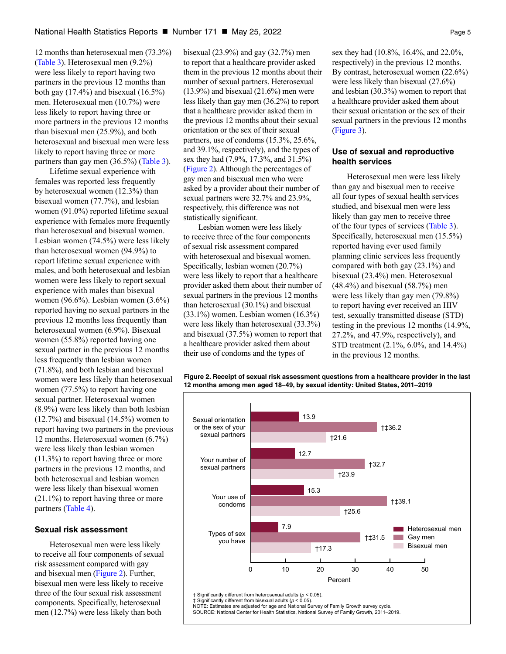12 months than heterosexual men (73.3%) [\(Table 3\)](#page-11-0). Heterosexual men (9.2%) were less likely to report having two partners in the previous 12 months than both gay  $(17.4\%)$  and bisexual  $(16.5\%)$ men. Heterosexual men (10.7%) were less likely to report having three or more partners in the previous 12 months than bisexual men (25.9%), and both heterosexual and bisexual men were less likely to report having three or more partners than gay men (36.5%) [\(Table 3\)](#page-11-0).

Lifetime sexual experience with females was reported less frequently by heterosexual women (12.3%) than bisexual women (77.7%), and lesbian women (91.0%) reported lifetime sexual experience with females more frequently than heterosexual and bisexual women. Lesbian women (74.5%) were less likely than heterosexual women (94.9%) to report lifetime sexual experience with males, and both heterosexual and lesbian women were less likely to report sexual experience with males than bisexual women (96.6%). Lesbian women (3.6%) reported having no sexual partners in the previous 12 months less frequently than heterosexual women (6.9%). Bisexual women (55.8%) reported having one sexual partner in the previous 12 months less frequently than lesbian women (71.8%), and both lesbian and bisexual women were less likely than heterosexual women (77.5%) to report having one sexual partner. Heterosexual women (8.9%) were less likely than both lesbian (12.7%) and bisexual (14.5%) women to report having two partners in the previous 12 months. Heterosexual women (6.7%) were less likely than lesbian women (11.3%) to report having three or more partners in the previous 12 months, and both heterosexual and lesbian women were less likely than bisexual women (21.1%) to report having three or more partners [\(Table 4\)](#page-12-0).

#### **Sexual risk assessment**

Heterosexual men were less likely to receive all four components of sexual risk assessment compared with gay and bisexual men (Figure 2). Further, bisexual men were less likely to receive three of the four sexual risk assessment components. Specifically, heterosexual men (12.7%) were less likely than both

bisexual (23.9%) and gay (32.7%) men to report that a healthcare provider asked them in the previous 12 months about their number of sexual partners. Heterosexual  $(13.9\%)$  and bisexual  $(21.6\%)$  men were less likely than gay men (36.2%) to report that a healthcare provider asked them in the previous 12 months about their sexual orientation or the sex of their sexual partners, use of condoms (15.3%, 25.6%, and 39.1%, respectively), and the types of sex they had (7.9%, 17.3%, and 31.5%) (Figure 2). Although the percentages of gay men and bisexual men who were asked by a provider about their number of sexual partners were 32.7% and 23.9%, respectively, this difference was not statistically significant.

Lesbian women were less likely to receive three of the four components of sexual risk assessment compared with heterosexual and bisexual women. Specifically, lesbian women (20.7%) were less likely to report that a healthcare provider asked them about their number of sexual partners in the previous 12 months than heterosexual (30.1%) and bisexual (33.1%) women. Lesbian women (16.3%) were less likely than heterosexual (33.3%) and bisexual (37.5%) women to report that a healthcare provider asked them about their use of condoms and the types of

sex they had (10.8%, 16.4%, and 22.0%, respectively) in the previous 12 months. By contrast, heterosexual women (22.6%) were less likely than bisexual (27.6%) and lesbian (30.3%) women to report that a healthcare provider asked them about their sexual orientation or the sex of their sexual partners in the previous 12 months [\(Figure 3\)](#page-5-0).

# **Use of sexual and reproductive health services**

Heterosexual men were less likely than gay and bisexual men to receive all four types of sexual health services studied, and bisexual men were less likely than gay men to receive three of the four types of services [\(Table 3\)](#page-5-0). Specifically, heterosexual men (15.5%) reported having ever used family planning clinic services less frequently compared with both gay (23.1%) and bisexual (23.4%) men. Heterosexual (48.4%) and bisexual (58.7%) men were less likely than gay men (79.8%) to report having ever received an HIV test, sexually transmitted disease (STD) testing in the previous 12 months (14.9%, 27.2%, and 47.9%, respectively), and STD treatment (2.1%, 6.0%, and 14.4%) in the previous 12 months.



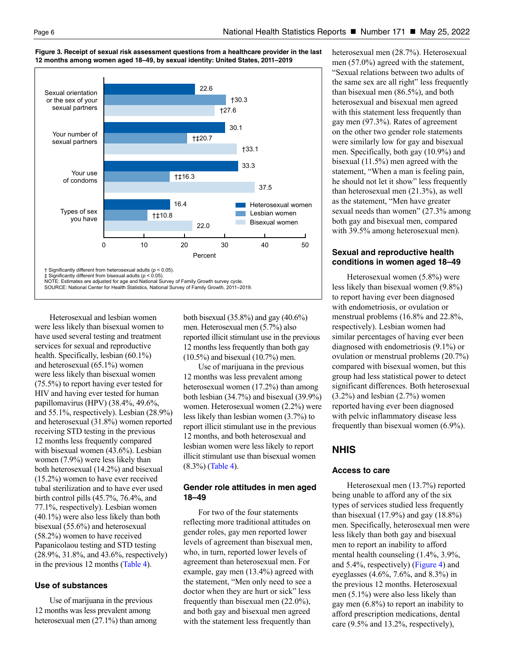

#### <span id="page-5-0"></span>**Figure 3. Receipt of sexual risk assessment questions from a healthcare provider in the last 12 months among women aged 18–49, by sexual identity: United States, 2011–2019**

Significantly different from heterosexual adults ( $p < 0.05$ ). İ

NOTE: Estimates are adjusted for age and National Survey of Family Growth survey cycle. SOURCE: National Center for Health Statistics, National Survey of Family Growth, 2011-2019.

Heterosexual and lesbian women were less likely than bisexual women to have used several testing and treatment services for sexual and reproductive health. Specifically, lesbian (60.1%) and heterosexual (65.1%) women were less likely than bisexual women (75.5%) to report having ever tested for HIV and having ever tested for human papillomavirus (HPV) (38.4%, 49.6%, and 55.1%, respectively). Lesbian (28.9%) and heterosexual (31.8%) women reported receiving STD testing in the previous 12 months less frequently compared with bisexual women (43.6%). Lesbian women (7.9%) were less likely than both heterosexual (14.2%) and bisexual (15.2%) women to have ever received tubal sterilization and to have ever used birth control pills (45.7%, 76.4%, and 77.1%, respectively). Lesbian women (40.1%) were also less likely than both bisexual (55.6%) and heterosexual (58.2%) women to have received Papanicolaou testing and STD testing (28.9%, 31.8%, and 43.6%, respectively) in the previous 12 months [\(Table 4\)](#page-12-0).

# **Use of substances**

Use of marijuana in the previous 12 months was less prevalent among heterosexual men (27.1%) than among both bisexual (35.8%) and gay (40.6%) men. Heterosexual men (5.7%) also reported illicit stimulant use in the previous 12 months less frequently than both gay (10.5%) and bisexual (10.7%) men.

Use of marijuana in the previous 12 months was less prevalent among heterosexual women (17.2%) than among both lesbian (34.7%) and bisexual (39.9%) women. Heterosexual women (2.2%) were less likely than lesbian women (3.7%) to report illicit stimulant use in the previous 12 months, and both heterosexual and lesbian women were less likely to report illicit stimulant use than bisexual women (8.3%) [\(Table 4\)](#page-12-0).

# **Gender role attitudes in men aged 18–49**

For two of the four statements reflecting more traditional attitudes on gender roles, gay men reported lower levels of agreement than bisexual men, who, in turn, reported lower levels of agreement than heterosexual men. For example, gay men (13.4%) agreed with the statement, "Men only need to see a doctor when they are hurt or sick" less frequently than bisexual men (22.0%), and both gay and bisexual men agreed with the statement less frequently than

heterosexual men (28.7%). Heterosexual men (57.0%) agreed with the statement, "Sexual relations between two adults of the same sex are all right" less frequently than bisexual men (86.5%), and both heterosexual and bisexual men agreed with this statement less frequently than gay men (97.3%). Rates of agreement on the other two gender role statements were similarly low for gay and bisexual men. Specifically, both gay (10.9%) and bisexual (11.5%) men agreed with the statement, "When a man is feeling pain, he should not let it show" less frequently than heterosexual men (21.3%), as well as the statement, "Men have greater sexual needs than women" (27.3% among both gay and bisexual men, compared with 39.5% among heterosexual men).

# **Sexual and reproductive health conditions in women aged 18–49**

Heterosexual women (5.8%) were less likely than bisexual women (9.8%) to report having ever been diagnosed with endometriosis, or ovulation or menstrual problems (16.8% and 22.8%, respectively). Lesbian women had similar percentages of having ever been diagnosed with endometriosis (9.1%) or ovulation or menstrual problems (20.7%) compared with bisexual women, but this group had less statistical power to detect significant differences. Both heterosexual  $(3.2\%)$  and lesbian  $(2.7\%)$  women reported having ever been diagnosed with pelvic inflammatory disease less frequently than bisexual women (6.9%).

# **NHIS**

# **Access to care**

Heterosexual men (13.7%) reported being unable to afford any of the six types of services studied less frequently than bisexual  $(17.9\%)$  and gay  $(18.8\%)$ men. Specifically, heterosexual men were less likely than both gay and bisexual men to report an inability to afford mental health counseling (1.4%, 3.9%, and 5.4%, respectively) [\(Figure 4\)](#page-6-0) and eyeglasses (4.6%, 7.6%, and 8.3%) in the previous 12 months. Heterosexual men (5.1%) were also less likely than gay men (6.8%) to report an inability to afford prescription medications, dental care (9.5% and 13.2%, respectively),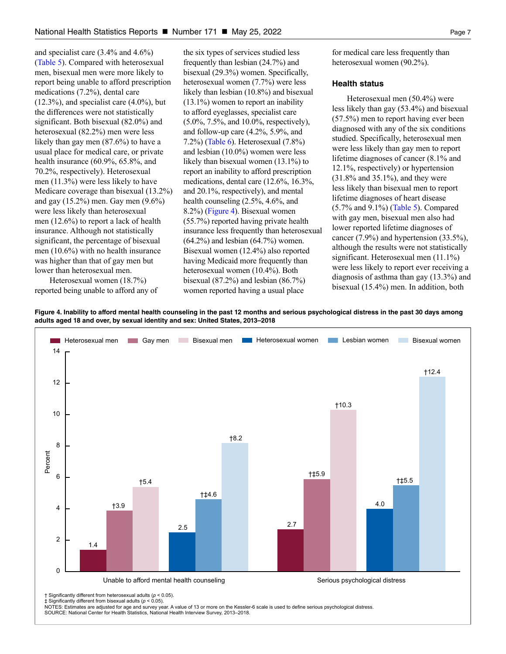and specialist care (3.4% and 4.6%) (Table 5). Compared with heterosexual men, bisexual men were more likely to report being unable to afford prescription medications (7.2%), dental care (12.3%), and specialist care (4.0%), but the differences were not statistically significant. Both bisexual (82.0%) and heterosexual (82.2%) men were less likely than gay men (87.6%) to have a usual place for medical care, or private health insurance (60.9%, 65.8%, and 70.2%, respectively). Heterosexual men (11.3%) were less likely to have Medicare coverage than bisexual (13.2%) and gay (15.2%) men. Gay men (9.6%) were less likely than heterosexual men (12.6%) to report a lack of health insurance. Although not statistically significant, the percentage of bisexual men (10.6%) with no health insurance was higher than that of gay men but lower than heterosexual men.

Heterosexual women (18.7%) reported being unable to afford any of

the six types of services studied less frequently than lesbian (24.7%) and bisexual (29.3%) women. Specifically, heterosexual women (7.7%) were less likely than lesbian (10.8%) and bisexual (13.1%) women to report an inability to afford eyeglasses, specialist care (5.0%, 7.5%, and 10.0%, respectively), and follow-up care (4.2%, 5.9%, and 7.2%) [\(Table 6\)](#page-14-0). Heterosexual (7.8%) and lesbian (10.0%) women were less likely than bisexual women (13.1%) to report an inability to afford prescription medications, dental care (12.6%, 16.3%, and 20.1%, respectively), and mental health counseling (2.5%, 4.6%, and 8.2%) [\(Figure 4\)](#page-6-0). Bisexual women (55.7%) reported having private health insurance less frequently than heterosexual (64.2%) and lesbian (64.7%) women. Bisexual women (12.4%) also reported having Medicaid more frequently than heterosexual women (10.4%). Both bisexual (87.2%) and lesbian (86.7%) women reported having a usual place

for medical care less frequently than heterosexual women (90.2%).

#### **Health status**

Heterosexual men (50.4%) were less likely than gay (53.4%) and bisexual (57.5%) men to report having ever been diagnosed with any of the six conditions studied. Specifically, heterosexual men were less likely than gay men to report lifetime diagnoses of cancer (8.1% and 12.1%, respectively) or hypertension (31.8% and 35.1%), and they were less likely than bisexual men to report lifetime diagnoses of heart disease (5.7% and 9.1%) (Table 5). Compared with gay men, bisexual men also had lower reported lifetime diagnoses of cancer (7.9%) and hypertension (33.5%), although the results were not statistically significant. Heterosexual men (11.1%) were less likely to report ever receiving a diagnosis of asthma than gay (13.3%) and bisexual (15.4%) men. In addition, both

<span id="page-6-0"></span>**Figure 4. Inability to afford mental health counseling in the past 12 months and serious psychological distress in the past 30 days among adults aged 18 and over, by sexual identity and sex: United States, 2013–2018**

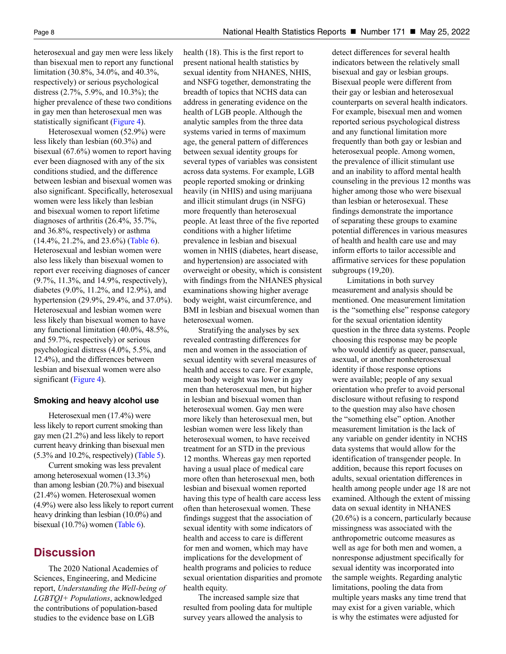heterosexual and gay men were less likely than bisexual men to report any functional limitation (30.8%, 34.0%, and 40.3%, respectively) or serious psychological distress (2.7%, 5.9%, and 10.3%); the higher prevalence of these two conditions in gay men than heterosexual men was statistically significant [\(Figure 4\)](#page-6-0).

Heterosexual women (52.9%) were less likely than lesbian (60.3%) and bisexual (67.6%) women to report having ever been diagnosed with any of the six conditions studied, and the difference between lesbian and bisexual women was also significant. Specifically, heterosexual women were less likely than lesbian and bisexual women to report lifetime diagnoses of arthritis (26.4%, 35.7%, and 36.8%, respectively) or asthma (14.4%, 21.2%, and 23.6%) [\(Table 6\)](#page-14-0). Heterosexual and lesbian women were also less likely than bisexual women to report ever receiving diagnoses of cancer (9.7%, 11.3%, and 14.9%, respectively), diabetes (9.0%, 11.2%, and 12.9%), and hypertension (29.9%, 29.4%, and 37.0%). Heterosexual and lesbian women were less likely than bisexual women to have any functional limitation (40.0%, 48.5%, and 59.7%, respectively) or serious psychological distress (4.0%, 5.5%, and 12.4%), and the differences between lesbian and bisexual women were also significant [\(Figure 4\)](#page-6-0).

#### **Smoking and heavy alcohol use**

Heterosexual men (17.4%) were less likely to report current smoking than gay men (21.2%) and less likely to report current heavy drinking than bisexual men (5.3% and 10.2%, respectively) (Table 5).

Current smoking was less prevalent among heterosexual women (13.3%) than among lesbian (20.7%) and bisexual (21.4%) women. Heterosexual women (4.9%) were also less likely to report current heavy drinking than lesbian (10.0%) and bisexual (10.7%) women [\(Table 6\)](#page-14-0).

# **Discussion**

The 2020 National Academies of Sciences, Engineering, and Medicine report, *Understanding the Well-being of LGBTQI+ Populations*, acknowledged the contributions of population-based studies to the evidence base on LGB

health (18). This is the first report to present national health statistics by sexual identity from NHANES, NHIS, and NSFG together, demonstrating the breadth of topics that NCHS data can address in generating evidence on the health of LGB people. Although the analytic samples from the three data systems varied in terms of maximum age, the general pattern of differences between sexual identity groups for several types of variables was consistent across data systems. For example, LGB people reported smoking or drinking heavily (in NHIS) and using marijuana and illicit stimulant drugs (in NSFG) more frequently than heterosexual people. At least three of the five reported conditions with a higher lifetime prevalence in lesbian and bisexual women in NHIS (diabetes, heart disease, and hypertension) are associated with overweight or obesity, which is consistent with findings from the NHANES physical examinations showing higher average body weight, waist circumference, and BMI in lesbian and bisexual women than heterosexual women.

Stratifying the analyses by sex revealed contrasting differences for men and women in the association of sexual identity with several measures of health and access to care. For example, mean body weight was lower in gay men than heterosexual men, but higher in lesbian and bisexual women than heterosexual women. Gay men were more likely than heterosexual men, but lesbian women were less likely than heterosexual women, to have received treatment for an STD in the previous 12 months. Whereas gay men reported having a usual place of medical care more often than heterosexual men, both lesbian and bisexual women reported having this type of health care access less often than heterosexual women. These findings suggest that the association of sexual identity with some indicators of health and access to care is different for men and women, which may have implications for the development of health programs and policies to reduce sexual orientation disparities and promote health equity.

The increased sample size that resulted from pooling data for multiple survey years allowed the analysis to

detect differences for several health indicators between the relatively small bisexual and gay or lesbian groups. Bisexual people were different from their gay or lesbian and heterosexual counterparts on several health indicators. For example, bisexual men and women reported serious psychological distress and any functional limitation more frequently than both gay or lesbian and heterosexual people. Among women, the prevalence of illicit stimulant use and an inability to afford mental health counseling in the previous 12 months was higher among those who were bisexual than lesbian or heterosexual. These findings demonstrate the importance of separating these groups to examine potential differences in various measures of health and health care use and may inform efforts to tailor accessible and affirmative services for these population subgroups (19,20).

Limitations in both survey measurement and analysis should be mentioned. One measurement limitation is the "something else" response category for the sexual orientation identity question in the three data systems. People choosing this response may be people who would identify as queer, pansexual, asexual, or another nonheterosexual identity if those response options were available; people of any sexual orientation who prefer to avoid personal disclosure without refusing to respond to the question may also have chosen the "something else" option. Another measurement limitation is the lack of any variable on gender identity in NCHS data systems that would allow for the identification of transgender people. In addition, because this report focuses on adults, sexual orientation differences in health among people under age 18 are not examined. Although the extent of missing data on sexual identity in NHANES (20.6%) is a concern, particularly because missingness was associated with the anthropometric outcome measures as well as age for both men and women, a nonresponse adjustment specifically for sexual identity was incorporated into the sample weights. Regarding analytic limitations, pooling the data from multiple years masks any time trend that may exist for a given variable, which is why the estimates were adjusted for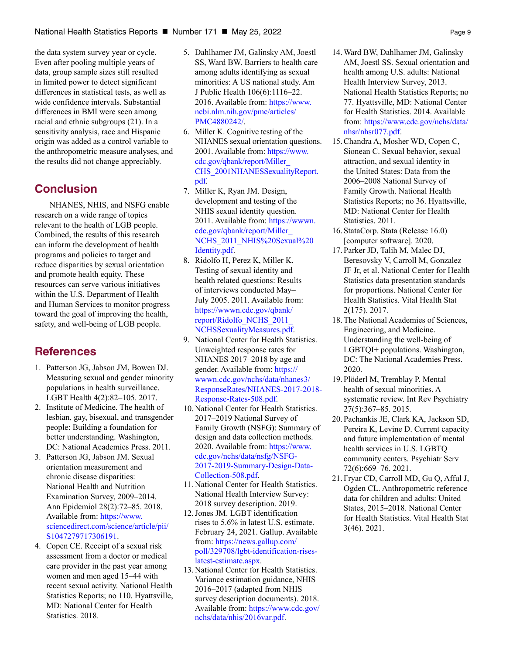the data system survey year or cycle. Even after pooling multiple years of data, group sample sizes still resulted in limited power to detect significant differences in statistical tests, as well as wide confidence intervals. Substantial differences in BMI were seen among racial and ethnic subgroups (21). In a sensitivity analysis, race and Hispanic origin was added as a control variable to the anthropometric measure analyses, and the results did not change appreciably.

# **Conclusion**

NHANES, NHIS, and NSFG enable research on a wide range of topics relevant to the health of LGB people. Combined, the results of this research can inform the development of health programs and policies to target and reduce disparities by sexual orientation and promote health equity. These resources can serve various initiatives within the U.S. Department of Health and Human Services to monitor progress toward the goal of improving the health, safety, and well-being of LGB people.

# **References**

- 1. Patterson JG, Jabson JM, Bowen DJ. Measuring sexual and gender minority populations in health surveillance. LGBT Health 4(2):82–105. 2017.
- 2. Institute of Medicine. The health of lesbian, gay, bisexual, and transgender people: Building a foundation for better understanding. Washington, DC: National Academies Press. 2011.
- 3. Patterson JG, Jabson JM. Sexual orientation measurement and chronic disease disparities: National Health and Nutrition Examination Survey, 2009–2014. Ann Epidemiol 28(2):72–85. 2018. Available from: [https://www.](https://www.sciencedirect.com/science/article/pii/S1047279717306191) [sciencedirect.com/science/article/pii/](https://www.sciencedirect.com/science/article/pii/S1047279717306191) [S1047279717306191.](https://www.sciencedirect.com/science/article/pii/S1047279717306191)
- 4. Copen CE. Receipt of a sexual risk assessment from a doctor or medical care provider in the past year among women and men aged 15–44 with recent sexual activity. National Health Statistics Reports; no 110. Hyattsville, MD: National Center for Health Statistics. 2018.
- 5. Dahlhamer JM, Galinsky AM, Joestl SS, Ward BW. Barriers to health care among adults identifying as sexual minorities: A US national study. Am J Public Health 106(6):1116–22. 2016. Available from: [https://www.](https://www.ncbi.nlm.nih.gov/pmc/articles/PMC4880242/) [ncbi.nlm.nih.gov/pmc/articles/](https://www.ncbi.nlm.nih.gov/pmc/articles/PMC4880242/) [PMC4880242/.](https://www.ncbi.nlm.nih.gov/pmc/articles/PMC4880242/)
- 6. Miller K. Cognitive testing of the NHANES sexual orientation questions. 2001. Available from: [https://www.](https://www.cdc.gov/qbank/report/Miller_NCHS_2001NHANESSexualityReport.pdf) [cdc.gov/qbank/report/Miller\\_](https://www.cdc.gov/qbank/report/Miller_NCHS_2001NHANESSexualityReport.pdf) [CHS\\_2001NHANESSexualityReport.](https://www.cdc.gov/qbank/report/Miller_NCHS_2001NHANESSexualityReport.pdf) [pdf](https://www.cdc.gov/qbank/report/Miller_NCHS_2001NHANESSexualityReport.pdf).
- 7. Miller K, Ryan JM. Design, development and testing of the NHIS sexual identity question. 2011. Available from: [https://wwwn.](https://wwwn.cdc.gov/qbank/report/Miller_NCHS_2011_NHIS%20Sexual%20Identity.pdf) [cdc.gov/qbank/report/Miller\\_](https://wwwn.cdc.gov/qbank/report/Miller_NCHS_2011_NHIS%20Sexual%20Identity.pdf) [NCHS\\_2011\\_NHIS%20Sexual%20](https://wwwn.cdc.gov/qbank/report/Miller_NCHS_2011_NHIS%20Sexual%20Identity.pdf) [Identity.pdf](https://wwwn.cdc.gov/qbank/report/Miller_NCHS_2011_NHIS%20Sexual%20Identity.pdf).
- 8. Ridolfo H, Perez K, Miller K. Testing of sexual identity and health related questions: Results of interviews conducted May– July 2005. 2011. Available from: [https://wwwn.cdc.gov/qbank/](https://wwwn.cdc.gov/qbank/report/Ridolfo_NCHS_2011_NCHSSexualityMeasures.pdf) [report/Ridolfo\\_NCHS\\_2011\\_](https://wwwn.cdc.gov/qbank/report/Ridolfo_NCHS_2011_NCHSSexualityMeasures.pdf) [NCHSSexualityMeasures.pdf.](https://wwwn.cdc.gov/qbank/report/Ridolfo_NCHS_2011_NCHSSexualityMeasures.pdf)
- 9. National Center for Health Statistics. Unweighted response rates for NHANES 2017–2018 by age and gender. Available from: [https://](https://wwwn.cdc.gov/nchs/data/nhanes3/ResponseRates/NHANES-2017-2018-Response-Rates-508.pdf) [wwwn.cdc.gov/nchs/data/nhanes3/](https://wwwn.cdc.gov/nchs/data/nhanes3/ResponseRates/NHANES-2017-2018-Response-Rates-508.pdf) [ResponseRates/NHANES-2017-2018-](https://wwwn.cdc.gov/nchs/data/nhanes3/ResponseRates/NHANES-2017-2018-Response-Rates-508.pdf) [Response-Rates-508.pdf](https://wwwn.cdc.gov/nchs/data/nhanes3/ResponseRates/NHANES-2017-2018-Response-Rates-508.pdf).
- 10. National Center for Health Statistics. 2017–2019 National Survey of Family Growth (NSFG): Summary of design and data collection methods. 2020. Available from: [https://www.](https://www.cdc.gov/nchs/data/nsfg/NSFG-2017-2019-Summary-Design-Data-Collection-508.pdf) [cdc.gov/nchs/data/nsfg/NSFG-](https://www.cdc.gov/nchs/data/nsfg/NSFG-2017-2019-Summary-Design-Data-Collection-508.pdf)[2017-2019-Summary-Design-Data-](https://www.cdc.gov/nchs/data/nsfg/NSFG-2017-2019-Summary-Design-Data-Collection-508.pdf)[Collection-508.pdf.](https://www.cdc.gov/nchs/data/nsfg/NSFG-2017-2019-Summary-Design-Data-Collection-508.pdf)
- 11. National Center for Health Statistics. National Health Interview Survey: 2018 survey description. 2019.
- 12. Jones JM. LGBT identification rises to 5.6% in latest U.S. estimate. February 24, 2021. Gallup. Available from: [https://news.gallup.com/](https://news.gallup.com/poll/329708/lgbt-identification-rises-latest-estimate.aspx) [poll/329708/lgbt-identification-rises](https://news.gallup.com/poll/329708/lgbt-identification-rises-latest-estimate.aspx)[latest-estimate.aspx.](https://news.gallup.com/poll/329708/lgbt-identification-rises-latest-estimate.aspx)
- 13. National Center for Health Statistics. Variance estimation guidance, NHIS 2016–2017 (adapted from NHIS survey description documents). 2018. Available from: [https://www.cdc.gov/](https://www.cdc.gov/nchs/data/nhis/2016var.pdf) [nchs/data/nhis/2016var.pdf](https://www.cdc.gov/nchs/data/nhis/2016var.pdf).
- 14. Ward BW, Dahlhamer JM, Galinsky AM, Joestl SS. Sexual orientation and health among U.S. adults: National Health Interview Survey, 2013. National Health Statistics Reports; no 77. Hyattsville, MD: National Center for Health Statistics. 2014. Available from: [https://www.cdc.gov/nchs/data/](https://www.cdc.gov/nchs/data/nhsr/nhsr077.pdf) [nhsr/nhsr077.pdf](https://www.cdc.gov/nchs/data/nhsr/nhsr077.pdf).
- 15. Chandra A, Mosher WD, Copen C, Sionean C. Sexual behavior, sexual attraction, and sexual identity in the United States: Data from the 2006–2008 National Survey of Family Growth. National Health Statistics Reports; no 36. Hyattsville, MD: National Center for Health Statistics. 2011.
- 16. StataCorp. Stata (Release 16.0) [computer software]. 2020.
- 17. Parker JD, Talih M, Malec DJ, Beresovsky V, Carroll M, Gonzalez JF Jr, et al. National Center for Health Statistics data presentation standards for proportions. National Center for Health Statistics. Vital Health Stat 2(175). 2017.
- 18. The National Academies of Sciences, Engineering, and Medicine. Understanding the well-being of LGBTQI+ populations. Washington, DC: The National Academies Press. 2020.
- 19. Plöderl M, Tremblay P. Mental health of sexual minorities. A systematic review. Int Rev Psychiatry 27(5):367–85. 2015.
- 20. Pachankis JE, Clark KA, Jackson SD, Pereira K, Levine D. Current capacity and future implementation of mental health services in U.S. LGBTQ community centers. Psychiatr Serv 72(6):669–76. 2021.
- 21. Fryar CD, Carroll MD, Gu Q, Afful J, Ogden CL. Anthropometric reference data for children and adults: United States, 2015–2018. National Center for Health Statistics. Vital Health Stat 3(46). 2021.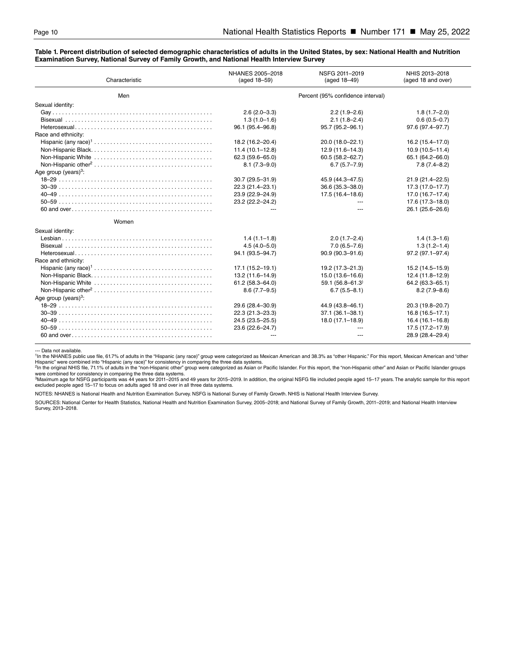#### <span id="page-9-0"></span>**Table 1. Percent distribution of selected demographic characteristics of adults in the United States, by sex: National Health and Nutrition Examination Survey, National Survey of Family Growth, and National Health Interview Survey**

| Characteristic          | NHANES 2005-2018<br>(aged 18-59)  | NSFG 2011-2019<br>(aged 18-49) | NHIS 2013-2018<br>(aged 18 and over) |
|-------------------------|-----------------------------------|--------------------------------|--------------------------------------|
| Men                     | Percent (95% confidence interval) |                                |                                      |
| Sexual identity:        |                                   |                                |                                      |
|                         | $2.6(2.0-3.3)$                    | $2.2(1.9-2.6)$                 | $1.8(1.7 - 2.0)$                     |
|                         | $1.3(1.0-1.6)$                    | $2.1(1.8-2.4)$                 | $0.6(0.5 - 0.7)$                     |
|                         | 96.1 (95.4-96.8)                  | 95.7 (95.2-96.1)               | 97.6 (97.4-97.7)                     |
| Race and ethnicity:     |                                   |                                |                                      |
|                         | 18.2 (16.2-20.4)                  | 20.0 (18.0-22.1)               | 16.2 (15.4-17.0)                     |
|                         | $11.4(10.1 - 12.8)$               | $12.9(11.6 - 14.3)$            | $10.9(10.5 - 11.4)$                  |
|                         | $62.3(59.6 - 65.0)$               | $60.5(58.2 - 62.7)$            | 65.1 (64.2-66.0)                     |
|                         | $8.1(7.3 - 9.0)$                  | $6.7(5.7 - 7.9)$               | $7.8(7.4 - 8.2)$                     |
| Age group (years) $3$ : |                                   |                                |                                      |
|                         | $30.7(29.5 - 31.9)$               | 45.9 (44.3-47.5)               | 21.9 (21.4-22.5)                     |
|                         | 22.3 (21.4-23.1)                  | 36.6 (35.3-38.0)               | 17.3 (17.0-17.7)                     |
|                         | 23.9 (22.9-24.9)                  | $17.5(16.4 - 18.6)$            | 17.0 (16.7-17.4)                     |
|                         | 23.2 (22.2-24.2)                  |                                | 17.6 (17.3-18.0)                     |
|                         |                                   |                                | 26.1 (25.6-26.6)                     |
| Women                   |                                   |                                |                                      |
| Sexual identity:        |                                   |                                |                                      |
|                         | $1.4(1.1-1.8)$                    | $2.0(1.7-2.4)$                 | $1.4(1.3-1.6)$                       |
|                         | $4.5(4.0 - 5.0)$                  | $7.0(6.5 - 7.6)$               | $1.3(1.2 - 1.4)$                     |
|                         | 94.1 (93.5-94.7)                  | 90.9 (90.3-91.6)               | 97.2 (97.1-97.4)                     |
| Race and ethnicity:     |                                   |                                |                                      |
|                         | 17.1 (15.2-19.1)                  | 19.2 (17.3-21.3)               | 15.2 (14.5-15.9)                     |
|                         | 13.2 (11.6-14.9)                  | $15.0(13.6 - 16.6)$            | 12.4 (11.8-12.9)                     |
|                         | $61.2(58.3 - 64.0)$               | 59.1 $(56.8 - 61.3)$           | 64.2 (63.3-65.1)                     |
|                         | $8.6(7.7-9.5)$                    | $6.7(5.5 - 8.1)$               | $8.2(7.9 - 8.6)$                     |
| Age group (years) $3$ : |                                   |                                |                                      |
|                         | 29.6 (28.4-30.9)                  | 44.9 (43.8-46.1)               | 20.3 (19.8-20.7)                     |
|                         | 22.3 (21.3-23.3)                  | $37.1(36.1 - 38.1)$            | $16.8(16.5 - 17.1)$                  |
|                         | 24.5 (23.5-25.5)                  | $18.0(17.1 - 18.9)$            | $16.4(16.1 - 16.8)$                  |
|                         | 23.6 (22.6-24.7)                  |                                | 17.5 (17.2-17.9)                     |
|                         |                                   |                                | 28.9 (28.4-29.4)                     |

- Data not available.

1In the NHANES public use file, 61.7% of adults in the "Hispanic (any race)" group were categorized as Mexican American and 38.3% as "other Hispanic." For this report, Mexican American and "other Hispanic" were combined into "Hispanic (any race)" for consistency in comparing the three data systems.

<sup>2</sup>In the original NHIS file, 71.1% of adults in the "non-Hispanic other" group were categorized as Asian or Pacific Islander. For this report, the "non-Hispanic other" and Asian or Pacific Islander groups<br>were combined fo

3Maximum age for NSFG participants was 44 years for 2011–2015 and 49 years for 2015–2019. In addition, the original NSFG file included people aged 15–17 years. The analytic sample for this report excluded people aged 15–17 to focus on adults aged 18 and over in all three data systems.

NOTES: NHANES is National Health and Nutrition Examination Survey. NSFG is National Survey of Family Growth. NHIS is National Health Interview Survey.

SOURCES: National Center for Health Statistics, National Health and Nutrition Examination Survey, 2005–2018; and National Survey of Family Growth, 2011–2019; and National Health Interview Survey, 2013–2018.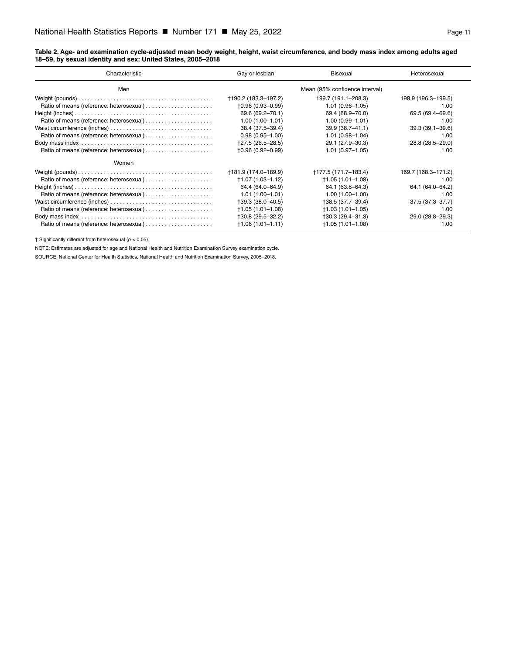#### <span id="page-10-0"></span>**Table 2. Age- and examination cycle-adjusted mean body weight, height, waist circumference, and body mass index among adults aged 18–59, by sexual identity and sex: United States, 2005–2018**

| Characteristic | Gay or lesbian                 | Bisexual             | Heterosexual        |
|----------------|--------------------------------|----------------------|---------------------|
| Men            | Mean (95% confidence interval) |                      |                     |
|                | +190.2 (183.3-197.2)           | 199.7 (191.1-208.3)  | 198.9 (196.3-199.5) |
|                | $+0.96(0.93 - 0.99)$           | $1.01(0.96 - 1.05)$  | 1.00                |
|                | 69.6 (69.2-70.1)               | 69.4 (68.9-70.0)     | 69.5 (69.4–69.6)    |
|                | $1.00(1.00 - 1.01)$            | $1.00(0.99 - 1.01)$  | 1.00                |
|                | 38.4 (37.5-39.4)               | $39.9(38.7 - 41.1)$  | $39.3(39.1 - 39.6)$ |
|                | $0.98(0.95 - 1.00)$            | $1.01(0.98 - 1.04)$  | 1.00                |
|                | +27.5 (26.5-28.5)              | 29.1 (27.9-30.3)     | 28.8 (28.5-29.0)    |
|                | $+0.96(0.92 - 0.99)$           | $1.01(0.97 - 1.05)$  | 1.00                |
| Women          |                                |                      |                     |
|                | +181.9 (174.0-189.9)           | +177.5 (171.7–183.4) | 169.7 (168.3-171.2) |
|                | +1.07 (1.03-1.12)              | $+1.05(1.01-1.08)$   | 1.00                |
|                | 64.4 (64.0-64.9)               | 64.1 (63.8-64.3)     | 64.1 (64.0-64.2)    |
|                | $1.01(1.00 - 1.01)$            | $1.00(1.00 - 1.00)$  | 1.00                |
|                | +39.3 (38.0-40.5)              | +38.5 (37.7-39.4)    | 37.5 (37.3-37.7)    |
|                | $+1.05(1.01-1.08)$             | $+1.03(1.01-1.05)$   | 1.00                |
|                | †30.8 (29.5–32.2)              | $+30.3(29.4-31.3)$   | 29.0 (28.8-29.3)    |
|                | $+1.06(1.01 - 1.11)$           | $+1.05(1.01 - 1.08)$ | 1.00                |

† Significantly different from heterosexual (*p* < 0.05).

NOTE: Estimates are adjusted for age and National Health and Nutrition Examination Survey examination cycle.

SOURCE: National Center for Health Statistics, National Health and Nutrition Examination Survey, 2005–2018.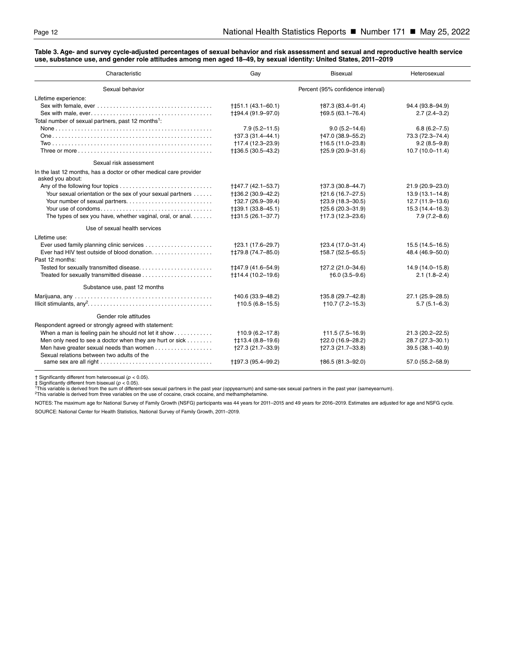#### <span id="page-11-0"></span>**Table 3. Age- and survey cycle-adjusted percentages of sexual behavior and risk assessment and sexual and reproductive health service use, substance use, and gender role attitudes among men aged 18–49, by sexual identity: United States, 2011–2019**

| Characteristic                                                                                                            | Gay                               | <b>Bisexual</b>   | Heterosexual        |
|---------------------------------------------------------------------------------------------------------------------------|-----------------------------------|-------------------|---------------------|
| Sexual behavior                                                                                                           | Percent (95% confidence interval) |                   |                     |
| Lifetime experience:                                                                                                      |                                   |                   |                     |
|                                                                                                                           | $+151.1(43.1-60.1)$               | +87.3 (83.4-91.4) | 94.4 (93.8-94.9)    |
| Sex with male, ever. $\dots\dots\dots\dots\dots\dots\dots\dots\dots\dots\dots\dots\dots\dots\dots\dots$                   | ++94.4 (91.9-97.0)                | +69.5 (63.1-76.4) | $2.7(2.4-3.2)$      |
| Total number of sexual partners, past 12 months <sup>1</sup> :                                                            |                                   |                   |                     |
|                                                                                                                           | $7.9(5.2 - 11.5)$                 | $9.0(5.2 - 14.6)$ | $6.8(6.2 - 7.5)$    |
|                                                                                                                           | +37.3 (31.4-44.1)                 | +47.0 (38.9-55.2) | 73.3 (72.3-74.4)    |
|                                                                                                                           | +17.4 (12.3-23.9)                 | +16.5 (11.0-23.8) | $9.2(8.5 - 9.8)$    |
| Three or more $\ldots$ $\ldots$ $\ldots$ $\ldots$ $\ldots$ $\ldots$ $\ldots$ $\ldots$ $\ldots$ $\ldots$ $\ldots$ $\ldots$ | †‡36.5 (30.5-43.2)                | †25.9 (20.9-31.6) | $10.7(10.0 - 11.4)$ |
| Sexual risk assessment                                                                                                    |                                   |                   |                     |
| In the last 12 months, has a doctor or other medical care provider<br>asked you about:                                    |                                   |                   |                     |
|                                                                                                                           | ++47.7 (42.1-53.7)                | †37.3 (30.8–44.7) | 21.9 (20.9-23.0)    |
| Your sexual orientation or the sex of your sexual partners                                                                | †‡36.2 (30.9–42.2)                | †21.6 (16.7-27.5) | $13.9(13.1 - 14.8)$ |
|                                                                                                                           | +32.7 (26.9-39.4)                 | †23.9 (18.3-30.5) | 12.7 (11.9-13.6)    |
|                                                                                                                           | $+139.1(33.8-45.1)$               | †25.6 (20.3–31.9) | $15.3(14.4 - 16.3)$ |
| The types of sex you have, whether vaginal, oral, or anal                                                                 | †‡31.5 (26.1-37.7)                | †17.3 (12.3–23.6) | $7.9(7.2 - 8.6)$    |
| Use of sexual health services                                                                                             |                                   |                   |                     |
| Lifetime use:                                                                                                             |                                   |                   |                     |
|                                                                                                                           | +23.1 (17.6-29.7)                 | +23.4 (17.0-31.4) | $15.5(14.5 - 16.5)$ |
| Ever had HIV test outside of blood donation<br>Past 12 months:                                                            | ++79.8 (74.7-85.0)                | +58.7 (52.5-65.5) | 48.4 (46.9-50.0)    |
| Tested for sexually transmitted disease                                                                                   | ++47.9 (41.6-54.9)                | †27.2 (21.0-34.6) | 14.9 (14.0-15.8)    |
|                                                                                                                           | ++14.4 (10.2-19.6)                | $+6.0(3.5-9.6)$   | $2.1(1.8-2.4)$      |
| Substance use, past 12 months                                                                                             |                                   |                   |                     |
|                                                                                                                           | +40.6 (33.9-48.2)                 | +35.8 (29.7-42.8) | 27.1 (25.9-28.5)    |
|                                                                                                                           | $+10.5(6.8-15.5)$                 | $+10.7(7.2-15.3)$ | $5.7(5.1 - 6.3)$    |
| Gender role attitudes                                                                                                     |                                   |                   |                     |
| Respondent agreed or strongly agreed with statement:                                                                      |                                   |                   |                     |
| When a man is feeling pain he should not let it show                                                                      | $+10.9(6.2-17.8)$                 | $+11.5(7.5-16.9)$ | 21.3 (20.2-22.5)    |
| Men only need to see a doctor when they are hurt or sick                                                                  | †‡13.4 (8.8–19.6)                 | †22.0 (16.9-28.2) | 28.7 (27.3-30.1)    |
| Men have greater sexual needs than women                                                                                  | †27.3 (21.7-33.9)                 | †27.3 (21.7–33.8) | 39.5 (38.1-40.9)    |
| Sexual relations between two adults of the                                                                                | †‡97.3 (95.4-99.2)                | +86.5 (81.3-92.0) | 57.0 (55.2-58.9)    |

† Significantly different from heterosexual (p < 0.05).<br>‡ Significantly different from bisexual (p < 0.05).<br><sup>1</sup>This variable is derived from the sum of different-sex sexual partners in the past year (oppyearnum) and same-s

NOTES: The maximum age for National Survey of Family Growth (NSFG) participants was 44 years for 2011-2015 and 49 years for 2016-2019. Estimates are adjusted for age and NSFG cycle. SOURCE: National Center for Health Statistics, National Survey of Family Growth, 2011–2019.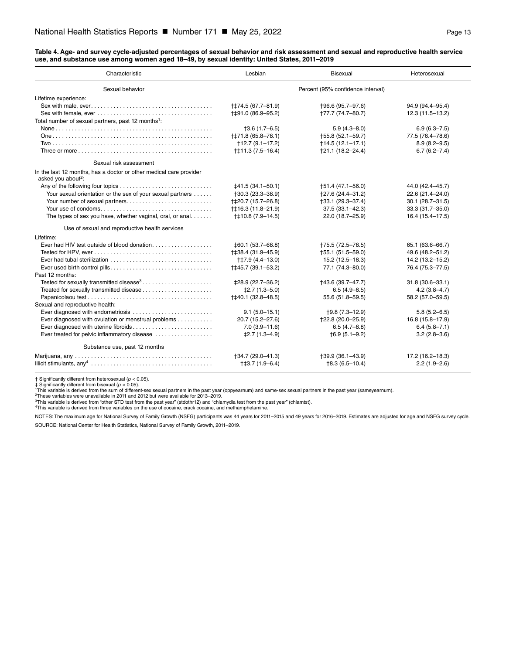<span id="page-12-0"></span>**Table 4. Age- and survey cycle-adjusted percentages of sexual behavior and risk assessment and sexual and reproductive health service use, and substance use among women aged 18–49, by sexual identity: United States, 2011–2019**

| Characteristic                                                                                       | Lesbian                           | <b>Bisexual</b>      | Heterosexual        |
|------------------------------------------------------------------------------------------------------|-----------------------------------|----------------------|---------------------|
| Sexual behavior                                                                                      | Percent (95% confidence interval) |                      |                     |
| Lifetime experience:                                                                                 |                                   |                      |                     |
|                                                                                                      | ++74.5 (67.7-81.9)                | +96.6 (95.7-97.6)    | 94.9 (94.4-95.4)    |
|                                                                                                      | ++91.0 (86.9-95.2)                | †77.7 (74.7–80.7)    | 12.3 (11.5-13.2)    |
| Total number of sexual partners, past 12 months <sup>1</sup> :                                       |                                   |                      |                     |
|                                                                                                      | $+3.6(1.7-6.5)$                   | $5.9(4.3 - 8.0)$     | $6.9(6.3 - 7.5)$    |
|                                                                                                      | <b>†</b> ‡71.8 (65.8-78.1)        | †55.8 (52.1–59.7)    | 77.5 (76.4-78.6)    |
|                                                                                                      | $+12.7(9.1-17.2)$                 | $+14.5(12.1-17.1)$   | $8.9(8.2 - 9.5)$    |
|                                                                                                      | $†$ $\uparrow$ 11.3 (7.5 - 16.4)  | †21.1 (18.2-24.4)    | $6.7(6.2 - 7.4)$    |
| Sexual risk assessment                                                                               |                                   |                      |                     |
| In the last 12 months, has a doctor or other medical care provider<br>asked you about <sup>2</sup> : |                                   |                      |                     |
|                                                                                                      | <b>‡41.5 (34.1–50.1)</b>          | $+51.4(47.1 - 56.0)$ | 44.0 (42.4–45.7)    |
| Your sexual orientation or the sex of your sexual partners                                           | $+30.3(23.3 - 38.9)$              | +27.6 (24.4-31.2)    | 22.6 (21.4-24.0)    |
|                                                                                                      | +‡20.7 (15.7-26.8)                | $+33.1(29.3-37.4)$   | $30.1(28.7 - 31.5)$ |
|                                                                                                      | ++16.3 (11.8-21.9)                | $37.5(33.1 - 42.3)$  | 33.3 (31.7-35.0)    |
| The types of sex you have, whether vaginal, oral, or anal                                            | ++10.8 (7.9-14.5)                 | 22.0 (18.7-25.9)     | 16.4 (15.4–17.5)    |
| Use of sexual and reproductive health services                                                       |                                   |                      |                     |
| Lifetime:                                                                                            |                                   |                      |                     |
|                                                                                                      | $\pm 60.1(53.7 - 68.8)$           | +75.5 (72.5-78.5)    | 65.1 (63.6-66.7)    |
|                                                                                                      | †‡38.4 (31.9–45.9)                | +55.1 (51.5-59.0)    | 49.6 (48.2-51.2)    |
|                                                                                                      | ++7.9 (4.4-13.0)                  | 15.2 (12.5-18.3)     | 14.2 (13.2-15.2)    |
|                                                                                                      | ++45.7 (39.1-53.2)                | 77.1 (74.3-80.0)     | 76.4 (75.3-77.5)    |
| Past 12 months:                                                                                      |                                   |                      |                     |
| Tested for sexually transmitted disease <sup>3</sup>                                                 | ‡28.9 (22.7-36.2)                 | †43.6 (39.7–47.7)    | $31.8(30.6 - 33.1)$ |
|                                                                                                      | $±2.7(1.3-5.0)$                   | $6.5(4.9 - 8.5)$     | $4.2(3.8 - 4.7)$    |
|                                                                                                      | ++40.1 (32.8-48.5)                | 55.6 (51.8-59.5)     | 58.2 (57.0-59.5)    |
| Sexual and reproductive health:                                                                      |                                   |                      |                     |
|                                                                                                      | $9.1(5.0-15.1)$                   | $+9.8(7.3-12.9)$     | $5.8(5.2 - 6.5)$    |
| Ever diagnosed with ovulation or menstrual problems                                                  | 20.7 (15.2-27.6)                  | †22.8 (20.0-25.9)    | 16.8 (15.8-17.9)    |
| Ever diagnosed with uterine fibroids                                                                 | $7.0(3.9 - 11.6)$                 | $6.5(4.7 - 8.8)$     | $6.4(5.8 - 7.1)$    |
| Ever treated for pelvic inflammatory disease                                                         | $\pm 2.7(1.3 - 4.9)$              | $+6.9(5.1-9.2)$      | $3.2(2.8-3.6)$      |
| Substance use, past 12 months                                                                        |                                   |                      |                     |
|                                                                                                      | †34.7 (29.0-41.3)                 | $+39.9(36.1 - 43.9)$ | 17.2 (16.2-18.3)    |
|                                                                                                      | $+13.7(1.9-6.4)$                  | $†8.3(6.5-10.4)$     | $2.2(1.9-2.6)$      |

† Significantly different from heterosexual (ρ < 0.05).<br>‡ Significantly different from bisexual (ρ < 0.05).<br>\* This variable is derived from the sum of different-sex sexual partners in the past year (oppyearnum) and same-se

<sup>2</sup>These variables were unavailable in 2011 and 2012 but were available for 2013–2019.<br><sup>3</sup>This variable is derived from "other STD test from the past year" (stdothr12) and "chlamydia test from the past year" (chlamtst).<br><sup>4</sup>

NOTES: The maximum age for National Survey of Family Growth (NSFG) participants was 44 years for 2011-2015 and 49 years for 2016-2019. Estimates are adjusted for age and NSFG survey cycle. SOURCE: National Center for Health Statistics, National Survey of Family Growth, 2011–2019.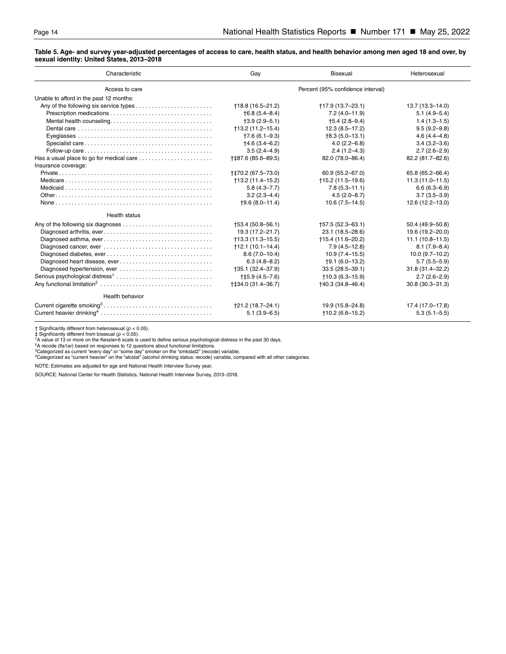#### **Table 5. Age- and survey year-adjusted percentages of access to care, health status, and health behavior among men aged 18 and over, by sexual identity: United States, 2013–2018**

| Characteristic                                                                                    | Gay                               | <b>Bisexual</b>             | Heterosexual        |
|---------------------------------------------------------------------------------------------------|-----------------------------------|-----------------------------|---------------------|
| Access to care                                                                                    | Percent (95% confidence interval) |                             |                     |
| Unable to afford in the past 12 months:                                                           |                                   |                             |                     |
|                                                                                                   | +18.8 (16.5-21.2)                 | +17.9 (13.7-23.1)           | 13.7 (13.3-14.0)    |
|                                                                                                   | $\uparrow$ 6.8 (5.4–8.4)          | $7.2(4.0 - 11.9)$           | $5.1(4.9-5.4)$      |
|                                                                                                   | $+3.9(2.9-5.1)$                   | $+5.4(2.8-9.4)$             | $1.4(1.3-1.5)$      |
| Dental care $\ldots \ldots \ldots \ldots \ldots \ldots \ldots \ldots \ldots \ldots \ldots \ldots$ | $+13.2(11.2-15.4)$                | $12.3(8.5 - 17.2)$          | $9.5(9.2 - 9.8)$    |
|                                                                                                   | $+7.6(6.1 - 9.3)$                 | $+8.3(5.0-13.1)$            | $4.6(4.4 - 4.8)$    |
|                                                                                                   | $+4.6(3.4 - 6.2)$                 | $4.0(2.2 - 6.8)$            | $3.4(3.2 - 3.6)$    |
|                                                                                                   | $3.5(2.4 - 4.9)$                  | $2.4(1.2 - 4.3)$            | $2.7(2.6-2.9)$      |
| Has a usual place to go for medical care                                                          | +‡87.6 (85.6-89.5)                | 82.0 (78.0-86.4)            | 82.2 (81.7-82.6)    |
| Insurance coverage:                                                                               |                                   |                             |                     |
|                                                                                                   | +‡70.2 (67.5-73.0)                | 60.9 (55.2-67.0)            | 65.8 (65.2-66.4)    |
|                                                                                                   | $+13.2(11.4-15.2)$                | $+15.2(11.5-19.6)$          | $11.3(11.0 - 11.5)$ |
|                                                                                                   | $5.8(4.3 - 7.7)$                  | $7.8(5.3 - 11.1)$           | $6.6(6.3 - 6.9)$    |
|                                                                                                   | $3.2(2.3 - 4.4)$                  | $4.5(2.0 - 8.7)$            | $3.7(3.5 - 3.9)$    |
|                                                                                                   | $+9.6(8.0-11.4)$                  | $10.6(7.5 - 14.5)$          | $12.6(12.2 - 13.0)$ |
| <b>Health status</b>                                                                              |                                   |                             |                     |
|                                                                                                   | $+53.4(50.8-56.1)$                | +57.5 (52.3-63.1)           | 50.4 (49.9-50.8)    |
|                                                                                                   | 19.3 (17.2-21.7)                  | 23.1 (18.5-28.6)            | 19.6 (19.2-20.0)    |
|                                                                                                   | $+13.3(11.3-15.5)$                | $+15.4(11.6-20.2)$          | $11.1(10.8 - 11.5)$ |
|                                                                                                   | $+12.1(10.1-14.4)$                | $7.9(4.5 - 12.8)$           | $8.1(7.9 - 8.4)$    |
|                                                                                                   | $8.6(7.0 - 10.4)$                 | $10.9(7.4-15.5)$            | $10.0(9.7-10.2)$    |
| Diagnosed heart disease, ever                                                                     | $6.3(4.8 - 8.2)$                  | $+9.1(6.0-13.2)$            | $5.7(5.5 - 5.9)$    |
|                                                                                                   | +35.1 (32.4-37.9)                 | $33.5(28.5 - 39.1)$         | 31.8 (31.4-32.2)    |
|                                                                                                   | $†15.9(4.5-7.6)$                  | $+10.3(6.3-15.9)$           | $2.7(2.6-2.9)$      |
|                                                                                                   | ++34.0 (31.4-36.7)                | $\uparrow$ 40.3 (34.8-46.4) | $30.8(30.3 - 31.3)$ |
| Health behavior                                                                                   |                                   |                             |                     |
|                                                                                                   | †21.2 (18.7–24.1)                 | 19.9 (15.8-24.8)            | 17.4 (17.0-17.8)    |
|                                                                                                   | $5.1(3.9-6.5)$                    | $+10.2(6.6-15.2)$           | $5.3(5.1 - 5.5)$    |

† Significantly different from heterosexual ( $p < 0.05$ ).<br>† Significantly different from bisexual ( $p < 0.05$ ).<br>† A value of 13 or more on the Kessler-6 scale is used to define serious psychological distress in the past 30 d

NOTE: Estimates are adjusted for age and National Health Interview Survey year.

SOURCE: National Center for Health Statistics, National Health Interview Survey, 2013–2018.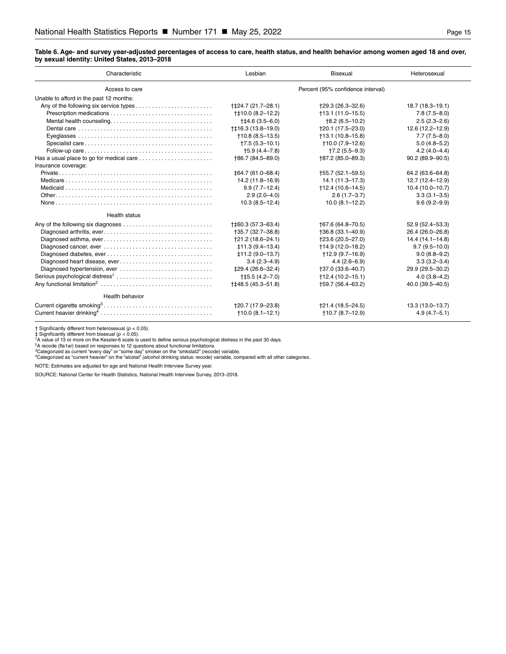#### <span id="page-14-0"></span>**Table 6. Age- and survey year-adjusted percentages of access to care, health status, and health behavior among women aged 18 and over, by sexual identity: United States, 2013–2018**

| Characteristic                              | Lesbian                           | <b>Bisexual</b>             | Heterosexual        |
|---------------------------------------------|-----------------------------------|-----------------------------|---------------------|
| Access to care                              | Percent (95% confidence interval) |                             |                     |
| Unable to afford in the past 12 months:     |                                   |                             |                     |
|                                             | +‡24.7 (21.7-28.1)                | $+29.3(26.3-32.6)$          | $18.7(18.3 - 19.1)$ |
|                                             | †‡10.0 (8.2-12.2)                 | $+13.1(11.0-15.5)$          | $7.8(7.5 - 8.0)$    |
| Mental health counseling                    | $+14.6(3.5-6.0)$                  | $+8.2(6.5-10.2)$            | $2.5(2.3 - 2.6)$    |
|                                             | †‡16.3 (13.8-19.0)                | $+20.1(17.5-23.0)$          | $12.6(12.2 - 12.9)$ |
|                                             | $+10.8(8.5-13.5)$                 | $+13.1(10.8-15.8)$          | $7.7(7.5 - 8.0)$    |
|                                             | $+7.5(5.3-10.1)$                  | $+10.0(7.9-12.6)$           | $5.0(4.8 - 5.2)$    |
|                                             | $+5.9(4.4 - 7.8)$                 | $+7.2(5.5-9.3)$             | $4.2(4.0 - 4.4)$    |
| Has a usual place to go for medical care    | +86.7 (84.5-89.0)                 | +87.2 (85.0-89.3)           | $90.2(89.9 - 90.5)$ |
| Insurance coverage:                         |                                   |                             |                     |
|                                             | ‡64.7 (61.0-68.4)                 | +55.7 (52.1-59.5)           | 64.2 (63.6-64.8)    |
|                                             | 14.2 (11.8-16.9)                  | 14.1 (11.3–17.3)            | 12.7 (12.4-12.9)    |
|                                             | $9.9(7.7-12.4)$                   | $\uparrow$ 12.4 (10.6-14.5) | $10.4(10.0 - 10.7)$ |
|                                             | $2.9(2.0-4.0)$                    | $2.6(1.7-3.7)$              | $3.3(3.1 - 3.5)$    |
|                                             | $10.3(8.5 - 12.4)$                | $10.0(8.1 - 12.2)$          | $9.6(9.2 - 9.9)$    |
| Health status                               |                                   |                             |                     |
|                                             | +‡60.3 (57.3–63.4)                | +67.6 (64.8-70.5)           | 52.9 (52.4-53.3)    |
|                                             | †35.7 (32.7–38.8)                 | $+36.8(33.1 - 40.9)$        | 26.4 (26.0-26.8)    |
|                                             | †21.2 (18.6–24.1)                 | †23.6 (20.5-27.0)           | $14.4(14.1 - 14.8)$ |
|                                             | $\pm 11.3(9.4 - 13.4)$            | +14.9 (12.0-18.2)           | $9.7(9.5 - 10.0)$   |
|                                             | $±11.2(9.0-13.7)$                 | $+12.9(9.7-16.9)$           | $9.0(8.8-9.2)$      |
| Diagnosed heart disease, ever               | $3.4(2.3 - 4.9)$                  | $4.4(2.6-6.9)$              | $3.3(3.2 - 3.4)$    |
| Diagnosed hypertension, ever                | <b>‡29.4 (26.6–32.4)</b>          | †37.0 (33.6–40.7)           | 29.9 (29.5-30.2)    |
| Serious psychological distress <sup>1</sup> | $†15.5(4.2 - 7.0)$                | $+12.4(10.2-15.1)$          | $4.0(3.8 - 4.2)$    |
|                                             | ++48.5 (45.3-51.8)                | +59.7 (56.4-63.2)           | 40.0 (39.5-40.5)    |
| Health behavior                             |                                   |                             |                     |
|                                             | †20.7 (17.9–23.8)                 | †21.4 (18.5–24.5)           | 13.3 (13.0-13.7)    |
|                                             | $+10.0(8.1-12.1)$                 | $+10.7(8.7-12.9)$           | $4.9(4.7 - 5.1)$    |

† Significantly different from heterosexual ( $p < 0.05$ ).<br>‡ Significantly different from bisexual ( $p < 0.05$ ).<br><sup>1</sup>A value of 13 or more on the Kessler-6 scale is used to define serious psychological distress in the past 30

NOTE: Estimates are adjusted for age and National Health Interview Survey year.

SOURCE: National Center for Health Statistics, National Health Interview Survey, 2013–2018.